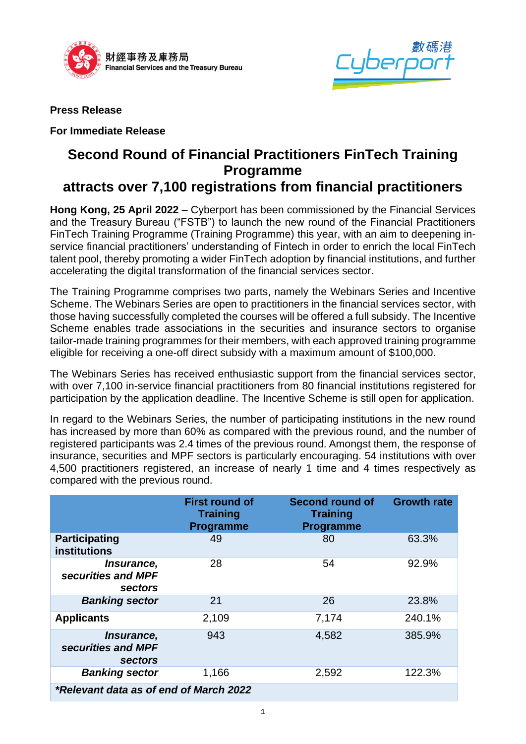



**Press Release** 

**For Immediate Release**

## **Second Round of Financial Practitioners FinTech Training Programme**

## **attracts over 7,100 registrations from financial practitioners**

**Hong Kong, 25 April 2022** – Cyberport has been commissioned by the Financial Services and the Treasury Bureau ("FSTB") to launch the new round of the Financial Practitioners FinTech Training Programme (Training Programme) this year, with an aim to deepening inservice financial practitioners' understanding of Fintech in order to enrich the local FinTech talent pool, thereby promoting a wider FinTech adoption by financial institutions, and further accelerating the digital transformation of the financial services sector.

The Training Programme comprises two parts, namely the Webinars Series and Incentive Scheme. The Webinars Series are open to practitioners in the financial services sector, with those having successfully completed the courses will be offered a full subsidy. The Incentive Scheme enables trade associations in the securities and insurance sectors to organise tailor-made training programmes for their members, with each approved training programme eligible for receiving a one-off direct subsidy with a maximum amount of \$100,000.

The Webinars Series has received enthusiastic support from the financial services sector, with over 7,100 in-service financial practitioners from 80 financial institutions registered for participation by the application deadline. The Incentive Scheme is still open for application.

In regard to the Webinars Series, the number of participating institutions in the new round has increased by more than 60% as compared with the previous round, and the number of registered participants was 2.4 times of the previous round. Amongst them, the response of insurance, securities and MPF sectors is particularly encouraging. 54 institutions with over 4,500 practitioners registered, an increase of nearly 1 time and 4 times respectively as compared with the previous round.

|                                             | <b>First round of</b><br><b>Training</b><br><b>Programme</b> | Second round of<br><b>Training</b><br><b>Programme</b> | <b>Growth rate</b> |
|---------------------------------------------|--------------------------------------------------------------|--------------------------------------------------------|--------------------|
| <b>Participating</b><br><b>institutions</b> | 49                                                           | 80                                                     | 63.3%              |
| Insurance,<br>securities and MPF<br>sectors | 28                                                           | 54                                                     | 92.9%              |
| <b>Banking sector</b>                       | 21                                                           | 26                                                     | 23.8%              |
| <b>Applicants</b>                           | 2,109                                                        | 7,174                                                  | 240.1%             |
| Insurance,<br>securities and MPF<br>sectors | 943                                                          | 4,582                                                  | 385.9%             |
| <b>Banking sector</b>                       | 1,166                                                        | 2,592                                                  | 122.3%             |
| *Relevant data as of end of March 2022      |                                                              |                                                        |                    |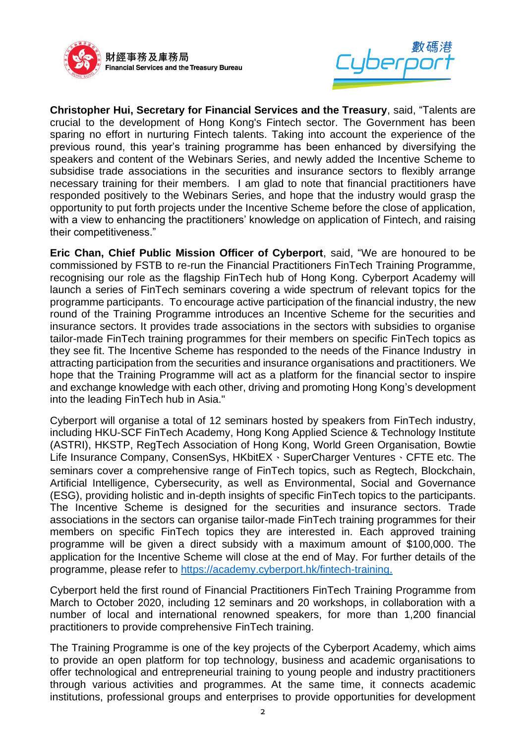



**Christopher Hui, Secretary for Financial Services and the Treasury**, said, "Talents are crucial to the development of Hong Kong's Fintech sector. The Government has been sparing no effort in nurturing Fintech talents. Taking into account the experience of the previous round, this year's training programme has been enhanced by diversifying the speakers and content of the Webinars Series, and newly added the Incentive Scheme to subsidise trade associations in the securities and insurance sectors to flexibly arrange necessary training for their members. I am glad to note that financial practitioners have responded positively to the Webinars Series, and hope that the industry would grasp the opportunity to put forth projects under the Incentive Scheme before the close of application, with a view to enhancing the practitioners' knowledge on application of Fintech, and raising their competitiveness."

**Eric Chan, Chief Public Mission Officer of Cyberport**, said, "We are honoured to be commissioned by FSTB to re-run the Financial Practitioners FinTech Training Programme, recognising our role as the flagship FinTech hub of Hong Kong. Cyberport Academy will launch a series of FinTech seminars covering a wide spectrum of relevant topics for the programme participants. To encourage active participation of the financial industry, the new round of the Training Programme introduces an Incentive Scheme for the securities and insurance sectors. It provides trade associations in the sectors with subsidies to organise tailor-made FinTech training programmes for their members on specific FinTech topics as they see fit. The Incentive Scheme has responded to the needs of the Finance Industry in attracting participation from the securities and insurance organisations and practitioners. We hope that the Training Programme will act as a platform for the financial sector to inspire and exchange knowledge with each other, driving and promoting Hong Kong's development into the leading FinTech hub in Asia."

Cyberport will organise a total of 12 seminars hosted by speakers from FinTech industry, including HKU-SCF FinTech Academy, Hong Kong Applied Science & Technology Institute (ASTRI), HKSTP, RegTech Association of Hong Kong, World Green Organisation, Bowtie Life Insurance Company, ConsenSys, HKbitEX、SuperCharger Ventures、CFTE etc. The seminars cover a comprehensive range of FinTech topics, such as Regtech, Blockchain, Artificial Intelligence, Cybersecurity, as well as Environmental, Social and Governance (ESG), providing holistic and in-depth insights of specific FinTech topics to the participants. The Incentive Scheme is designed for the securities and insurance sectors. Trade associations in the sectors can organise tailor-made FinTech training programmes for their members on specific FinTech topics they are interested in. Each approved training programme will be given a direct subsidy with a maximum amount of \$100,000. The application for the Incentive Scheme will close at the end of May. For further details of the programme, please refer to [https://academy.cyberport.hk/fintech-training.](https://academy.cyberport.hk/fintech-training)

Cyberport held the first round of Financial Practitioners FinTech Training Programme from March to October 2020, including 12 seminars and 20 workshops, in collaboration with a number of local and international renowned speakers, for more than 1,200 financial practitioners to provide comprehensive FinTech training.

The Training Programme is one of the key projects of the Cyberport Academy, which aims to provide an open platform for top technology, business and academic organisations to offer technological and entrepreneurial training to young people and industry practitioners through various activities and programmes. At the same time, it connects academic institutions, professional groups and enterprises to provide opportunities for development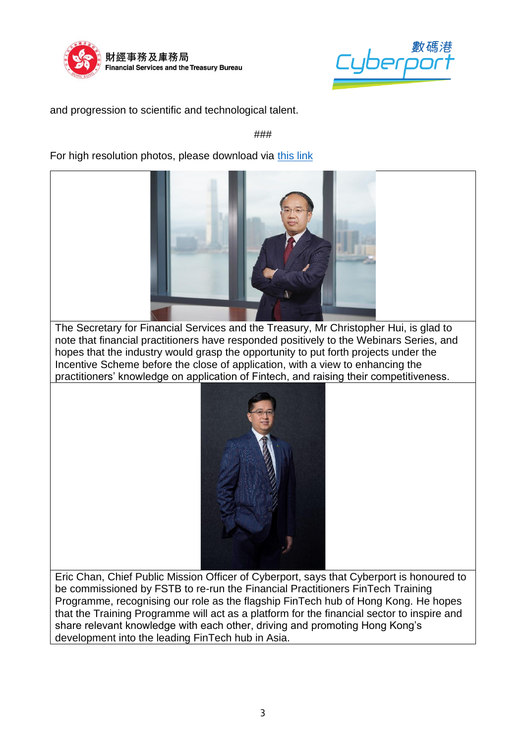



and progression to scientific and technological talent.

###

For high resolution photos, please download via [this link](https://drive.google.com/drive/folders/1U01IB5Mze0E8RFBIoYkez_MrNCFWbUdS?usp=sharing)



The Secretary for Financial Services and the Treasury, Mr Christopher Hui, is glad to note that financial practitioners have responded positively to the Webinars Series, and hopes that the industry would grasp the opportunity to put forth projects under the Incentive Scheme before the close of application, with a view to enhancing the practitioners' knowledge on application of Fintech, and raising their competitiveness.



Eric Chan, Chief Public Mission Officer of Cyberport, says that Cyberport is honoured to be commissioned by FSTB to re-run the Financial Practitioners FinTech Training Programme, recognising our role as the flagship FinTech hub of Hong Kong. He hopes that the Training Programme will act as a platform for the financial sector to inspire and share relevant knowledge with each other, driving and promoting Hong Kong's development into the leading FinTech hub in Asia.